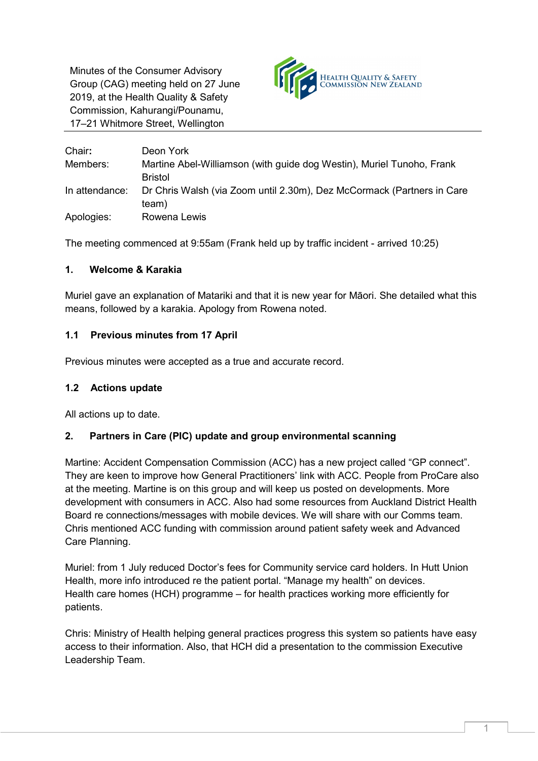Minutes of the Consumer Advisory Group (CAG) meeting held on 27 June 2019, at the Health Quality & Safety Commission, Kahurangi/Pounamu, 17–21 Whitmore Street, Wellington



| Chair:         | Deon York                                                              |
|----------------|------------------------------------------------------------------------|
| Members:       | Martine Abel-Williamson (with guide dog Westin), Muriel Tunoho, Frank  |
|                | <b>Bristol</b>                                                         |
| In attendance: | Dr Chris Walsh (via Zoom until 2.30m), Dez McCormack (Partners in Care |
|                | team)                                                                  |
| Apologies:     | Rowena Lewis                                                           |

The meeting commenced at 9:55am (Frank held up by traffic incident - arrived 10:25)

# **1. Welcome & Karakia**

Muriel gave an explanation of Matariki and that it is new year for Māori. She detailed what this means, followed by a karakia. Apology from Rowena noted.

# **1.1 Previous minutes from 17 April**

Previous minutes were accepted as a true and accurate record.

## **1.2 Actions update**

All actions up to date.

## **2. Partners in Care (PIC) update and group environmental scanning**

Martine: Accident Compensation Commission (ACC) has a new project called "GP connect". They are keen to improve how General Practitioners' link with ACC. People from ProCare also at the meeting. Martine is on this group and will keep us posted on developments. More development with consumers in ACC. Also had some resources from Auckland District Health Board re connections/messages with mobile devices. We will share with our Comms team. Chris mentioned ACC funding with commission around patient safety week and Advanced Care Planning.

Muriel: from 1 July reduced Doctor's fees for Community service card holders. In Hutt Union Health, more info introduced re the patient portal. "Manage my health" on devices. Health care homes (HCH) programme – for health practices working more efficiently for patients.

Chris: Ministry of Health helping general practices progress this system so patients have easy access to their information. Also, that HCH did a presentation to the commission Executive Leadership Team.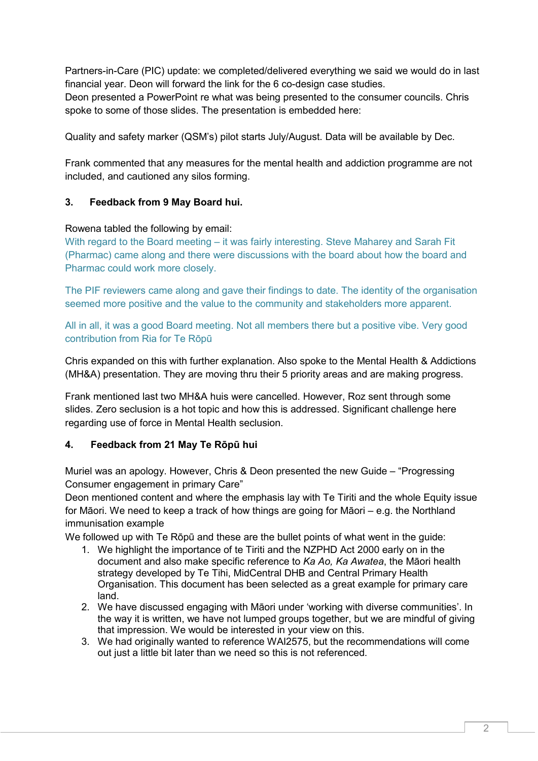Partners-in-Care (PIC) update: we completed/delivered everything we said we would do in last financial year. Deon will forward the link for the 6 co-design case studies.

Deon presented a PowerPoint re what was being presented to the consumer councils. Chris spoke to some of those slides. The presentation is embedded here:

Quality and safety marker (QSM's) pilot starts July/August. Data will be available by Dec.

Frank commented that any measures for the mental health and addiction programme are not included, and cautioned any silos forming.

#### **3. Feedback from 9 May Board hui.**

#### Rowena tabled the following by email:

With regard to the Board meeting – it was fairly interesting. Steve Maharey and Sarah Fit (Pharmac) came along and there were discussions with the board about how the board and Pharmac could work more closely.

The PIF reviewers came along and gave their findings to date. The identity of the organisation seemed more positive and the value to the community and stakeholders more apparent.

All in all, it was a good Board meeting. Not all members there but a positive vibe. Very good contribution from Ria for Te Rōpū

Chris expanded on this with further explanation. Also spoke to the Mental Health & Addictions (MH&A) presentation. They are moving thru their 5 priority areas and are making progress.

Frank mentioned last two MH&A huis were cancelled. However, Roz sent through some slides. Zero seclusion is a hot topic and how this is addressed. Significant challenge here regarding use of force in Mental Health seclusion.

#### **4. Feedback from 21 May Te Rōpū hui**

Muriel was an apology. However, Chris & Deon presented the new Guide – "Progressing Consumer engagement in primary Care"

Deon mentioned content and where the emphasis lay with Te Tiriti and the whole Equity issue for Māori. We need to keep a track of how things are going for Māori – e.g. the Northland immunisation example

We followed up with Te Rōpū and these are the bullet points of what went in the guide:

- 1. We highlight the importance of te Tiriti and the NZPHD Act 2000 early on in the document and also make specific reference to *Ka Ao, Ka Awatea*, the Māori health strategy developed by Te Tihi, MidCentral DHB and Central Primary Health Organisation. This document has been selected as a great example for primary care land.
- 2. We have discussed engaging with Māori under 'working with diverse communities'. In the way it is written, we have not lumped groups together, but we are mindful of giving that impression. We would be interested in your view on this.
- 3. We had originally wanted to reference WAI2575, but the recommendations will come out just a little bit later than we need so this is not referenced.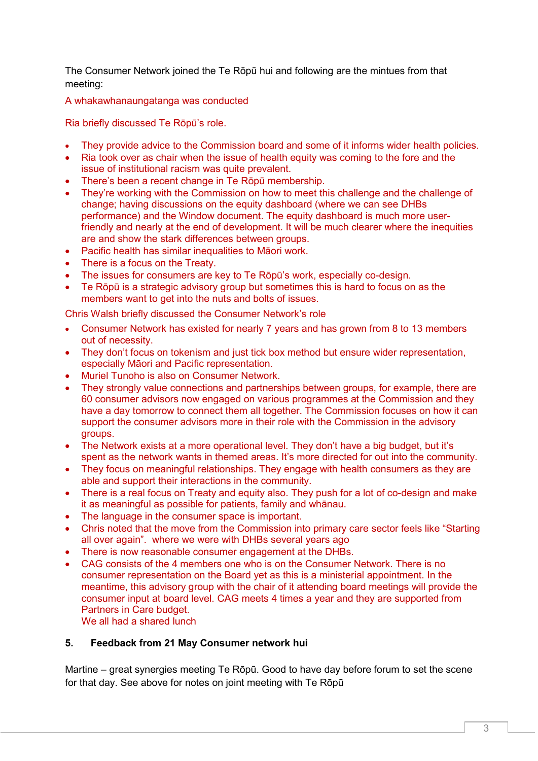The Consumer Network joined the Te Rōpū hui and following are the mintues from that meeting:

A whakawhanaungatanga was conducted

Ria briefly discussed Te Rōpū's role.

- They provide advice to the Commission board and some of it informs wider health policies.
- Ria took over as chair when the issue of health equity was coming to the fore and the issue of institutional racism was quite prevalent.
- There's been a recent change in Te Rōpū membership.
- They're working with the Commission on how to meet this challenge and the challenge of change; having discussions on the equity dashboard (where we can see DHBs performance) and the Window document. The equity dashboard is much more userfriendly and nearly at the end of development. It will be much clearer where the inequities are and show the stark differences between groups.
- Pacific health has similar inequalities to Māori work.
- There is a focus on the Treaty.
- The issues for consumers are key to Te Rōpū's work, especially co-design.
- Te Rōpū is a strategic advisory group but sometimes this is hard to focus on as the members want to get into the nuts and bolts of issues.

Chris Walsh briefly discussed the Consumer Network's role

- Consumer Network has existed for nearly 7 years and has grown from 8 to 13 members out of necessity.
- They don't focus on tokenism and just tick box method but ensure wider representation, especially Māori and Pacific representation.
- Muriel Tunoho is also on Consumer Network.
- They strongly value connections and partnerships between groups, for example, there are 60 consumer advisors now engaged on various programmes at the Commission and they have a day tomorrow to connect them all together. The Commission focuses on how it can support the consumer advisors more in their role with the Commission in the advisory groups.
- The Network exists at a more operational level. They don't have a big budget, but it's spent as the network wants in themed areas. It's more directed for out into the community.
- They focus on meaningful relationships. They engage with health consumers as they are able and support their interactions in the community.
- There is a real focus on Treaty and equity also. They push for a lot of co-design and make it as meaningful as possible for patients, family and whānau.
- The language in the consumer space is important.
- Chris noted that the move from the Commission into primary care sector feels like "Starting all over again". where we were with DHBs several years ago
- There is now reasonable consumer engagement at the DHBs.
- CAG consists of the 4 members one who is on the Consumer Network. There is no consumer representation on the Board yet as this is a ministerial appointment. In the meantime, this advisory group with the chair of it attending board meetings will provide the consumer input at board level. CAG meets 4 times a year and they are supported from Partners in Care budget.

We all had a shared lunch

## **5. Feedback from 21 May Consumer network hui**

Martine – great synergies meeting Te Rōpū. Good to have day before forum to set the scene for that day. See above for notes on joint meeting with Te Rōpū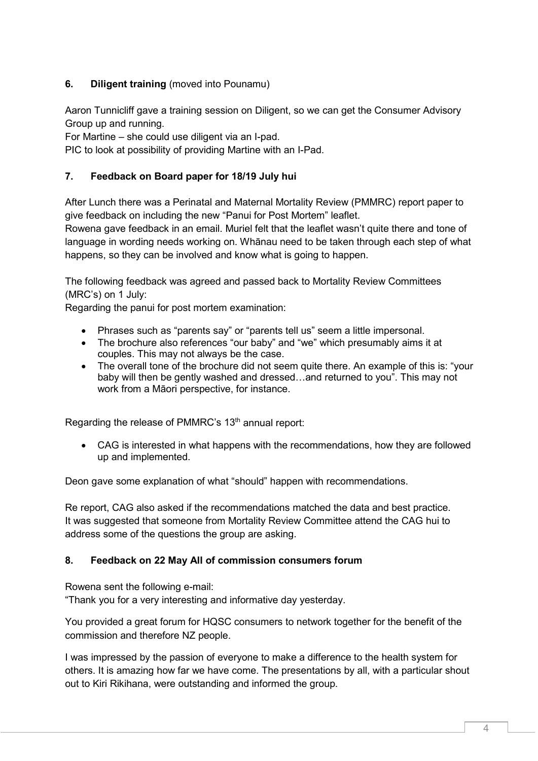# **6. Diligent training** (moved into Pounamu)

Aaron Tunnicliff gave a training session on Diligent, so we can get the Consumer Advisory Group up and running.

For Martine – she could use diligent via an I-pad.

PIC to look at possibility of providing Martine with an I-Pad.

## **7. Feedback on Board paper for 18/19 July hui**

After Lunch there was a Perinatal and Maternal Mortality Review (PMMRC) report paper to give feedback on including the new "Panui for Post Mortem" leaflet.

Rowena gave feedback in an email. Muriel felt that the leaflet wasn't quite there and tone of language in wording needs working on. Whānau need to be taken through each step of what happens, so they can be involved and know what is going to happen.

The following feedback was agreed and passed back to Mortality Review Committees (MRC's) on 1 July:

Regarding the panui for post mortem examination:

- Phrases such as "parents say" or "parents tell us" seem a little impersonal.
- The brochure also references "our baby" and "we" which presumably aims it at couples. This may not always be the case.
- The overall tone of the brochure did not seem quite there. An example of this is: "your baby will then be gently washed and dressed…and returned to you". This may not work from a Māori perspective, for instance.

Regarding the release of PMMRC's 13<sup>th</sup> annual report:

• CAG is interested in what happens with the recommendations, how they are followed up and implemented.

Deon gave some explanation of what "should" happen with recommendations.

Re report, CAG also asked if the recommendations matched the data and best practice. It was suggested that someone from Mortality Review Committee attend the CAG hui to address some of the questions the group are asking.

## **8. Feedback on 22 May All of commission consumers forum**

Rowena sent the following e-mail:

"Thank you for a very interesting and informative day yesterday.

You provided a great forum for HQSC consumers to network together for the benefit of the commission and therefore NZ people.

I was impressed by the passion of everyone to make a difference to the health system for others. It is amazing how far we have come. The presentations by all, with a particular shout out to Kiri Rikihana, were outstanding and informed the group.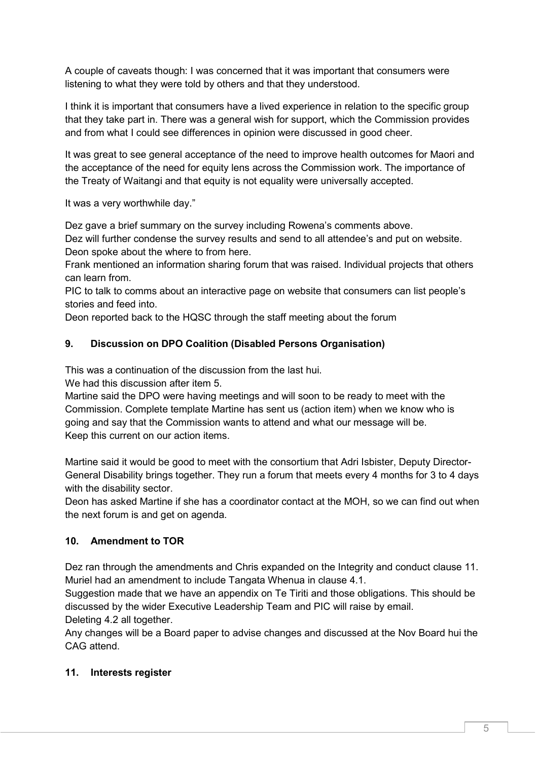A couple of caveats though: I was concerned that it was important that consumers were listening to what they were told by others and that they understood.

I think it is important that consumers have a lived experience in relation to the specific group that they take part in. There was a general wish for support, which the Commission provides and from what I could see differences in opinion were discussed in good cheer.

It was great to see general acceptance of the need to improve health outcomes for Maori and the acceptance of the need for equity lens across the Commission work. The importance of the Treaty of Waitangi and that equity is not equality were universally accepted.

It was a very worthwhile day."

Dez gave a brief summary on the survey including Rowena's comments above.

Dez will further condense the survey results and send to all attendee's and put on website. Deon spoke about the where to from here.

Frank mentioned an information sharing forum that was raised. Individual projects that others can learn from.

PIC to talk to comms about an interactive page on website that consumers can list people's stories and feed into.

Deon reported back to the HQSC through the staff meeting about the forum

## **9. Discussion on DPO Coalition (Disabled Persons Organisation)**

This was a continuation of the discussion from the last hui.

We had this discussion after item 5.

Martine said the DPO were having meetings and will soon to be ready to meet with the Commission. Complete template Martine has sent us (action item) when we know who is going and say that the Commission wants to attend and what our message will be. Keep this current on our action items.

Martine said it would be good to meet with the consortium that Adri Isbister, Deputy Director-General Disability brings together. They run a forum that meets every 4 months for 3 to 4 days with the disability sector.

Deon has asked Martine if she has a coordinator contact at the MOH, so we can find out when the next forum is and get on agenda.

## **10. Amendment to TOR**

Dez ran through the amendments and Chris expanded on the Integrity and conduct clause 11. Muriel had an amendment to include Tangata Whenua in clause 4.1.

Suggestion made that we have an appendix on Te Tiriti and those obligations. This should be discussed by the wider Executive Leadership Team and PIC will raise by email. Deleting 4.2 all together.

Any changes will be a Board paper to advise changes and discussed at the Nov Board hui the CAG attend.

## **11. Interests register**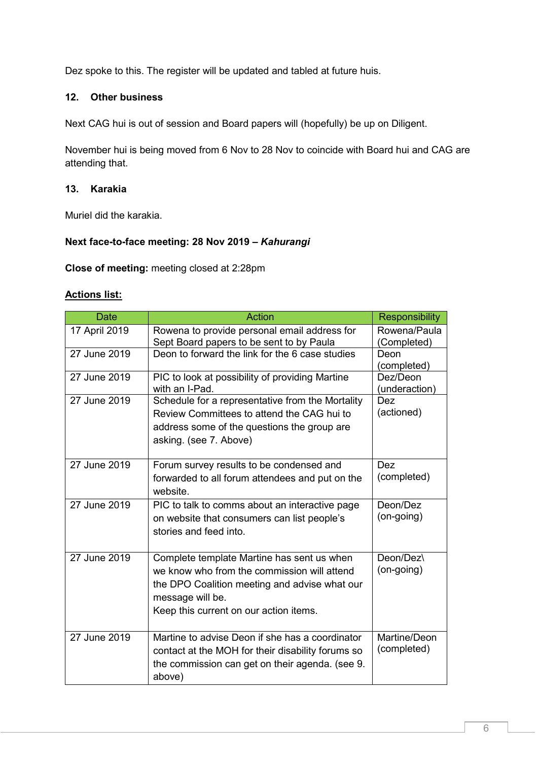Dez spoke to this. The register will be updated and tabled at future huis.

## **12. Other business**

Next CAG hui is out of session and Board papers will (hopefully) be up on Diligent.

November hui is being moved from 6 Nov to 28 Nov to coincide with Board hui and CAG are attending that.

## **13. Karakia**

Muriel did the karakia.

#### **Next face-to-face meeting: 28 Nov 2019 –** *Kahurangi*

**Close of meeting:** meeting closed at 2:28pm

#### **Actions list:**

| <b>Date</b>   | <b>Action</b>                                                                                                                                                                                            | <b>Responsibility</b>       |
|---------------|----------------------------------------------------------------------------------------------------------------------------------------------------------------------------------------------------------|-----------------------------|
| 17 April 2019 | Rowena to provide personal email address for<br>Sept Board papers to be sent to by Paula                                                                                                                 | Rowena/Paula<br>(Completed) |
| 27 June 2019  | Deon to forward the link for the 6 case studies                                                                                                                                                          | Deon<br>(completed)         |
| 27 June 2019  | PIC to look at possibility of providing Martine<br>with an I-Pad.                                                                                                                                        | Dez/Deon<br>(underaction)   |
| 27 June 2019  | Schedule for a representative from the Mortality<br>Review Committees to attend the CAG hui to<br>address some of the questions the group are<br>asking. (see 7. Above)                                  | <b>Dez</b><br>(actioned)    |
| 27 June 2019  | Forum survey results to be condensed and<br>forwarded to all forum attendees and put on the<br>website.                                                                                                  | Dez<br>(completed)          |
| 27 June 2019  | PIC to talk to comms about an interactive page<br>on website that consumers can list people's<br>stories and feed into.                                                                                  | Deon/Dez<br>(on-going)      |
| 27 June 2019  | Complete template Martine has sent us when<br>we know who from the commission will attend<br>the DPO Coalition meeting and advise what our<br>message will be.<br>Keep this current on our action items. | Deon/Dez\<br>(on-going)     |
| 27 June 2019  | Martine to advise Deon if she has a coordinator<br>contact at the MOH for their disability forums so<br>the commission can get on their agenda. (see 9.<br>above)                                        | Martine/Deon<br>(completed) |